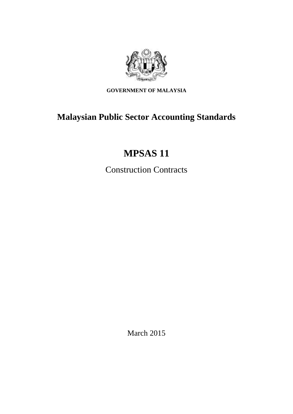

**GOVERNMENT OF MALAYSIA**

# **Malaysian Public Sector Accounting Standards**

# **MPSAS 11**

Construction Contracts

March 2015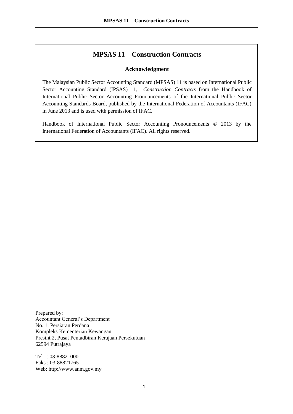# **MPSAS 11 – Construction Contracts**

### **Acknowledgment**

The Malaysian Public Sector Accounting Standard (MPSAS) 11 is based on International Public Sector Accounting Standard (IPSAS) 11, *Construction Contracts* from the Handbook of International Public Sector Accounting Pronouncements of the International Public Sector Accounting Standards Board, published by the International Federation of Accountants (IFAC) in June 2013 and is used with permission of IFAC.

Handbook of International Public Sector Accounting Pronouncements © 2013 by the International Federation of Accountants (IFAC). All rights reserved.

Prepared by: Accountant General's Department No. 1, Persiaran Perdana Kompleks Kementerian Kewangan Presint 2, Pusat Pentadbiran Kerajaan Persekutuan 62594 Putrajaya

Tel : 03-88821000 Faks : 03-88821765 Web: http://www.anm.gov.my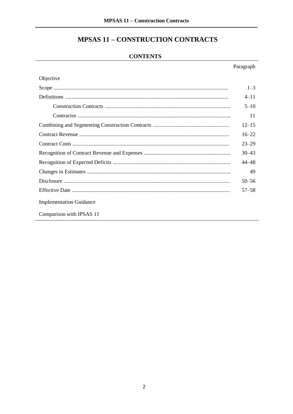# **MPSAS 11 - CONSTRUCTION CONTRACTS**

## **CONTENTS**

|                                | Paragraph |
|--------------------------------|-----------|
| Objective                      |           |
|                                | $1 - 3$   |
|                                | $4 - 11$  |
|                                | $5 - 10$  |
|                                | 11        |
|                                | $12 - 15$ |
|                                | $16 - 22$ |
|                                | $23 - 29$ |
|                                | $30 - 43$ |
|                                | 44–48     |
|                                | 49        |
|                                | $50 - 56$ |
|                                | $57 - 58$ |
| <b>Implementation Guidance</b> |           |
| Comparison with IPSAS 11       |           |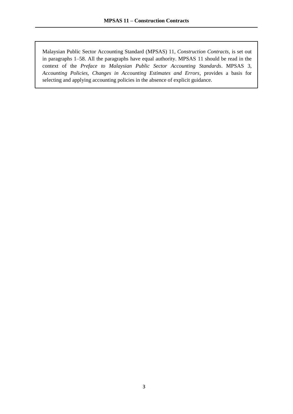Malaysian Public Sector Accounting Standard (MPSAS) 11, *Construction Contracts*, is set out in paragraphs 1–58. All the paragraphs have equal authority. MPSAS 11 should be read in the context of the *Preface to Malaysian Public Sector Accounting Standards*. MPSAS 3, *Accounting Policies, Changes in Accounting Estimates and Errors*, provides a basis for selecting and applying accounting policies in the absence of explicit guidance.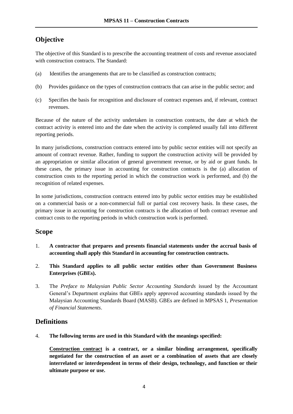# **Objective**

The objective of this Standard is to prescribe the accounting treatment of costs and revenue associated with construction contracts. The Standard:

- (a) Identifies the arrangements that are to be classified as construction contracts;
- (b) Provides guidance on the types of construction contracts that can arise in the public sector; and
- (c) Specifies the basis for recognition and disclosure of contract expenses and, if relevant, contract revenues.

Because of the nature of the activity undertaken in construction contracts, the date at which the contract activity is entered into and the date when the activity is completed usually fall into different reporting periods.

In many jurisdictions, construction contracts entered into by public sector entities will not specify an amount of contract revenue. Rather, funding to support the construction activity will be provided by an appropriation or similar allocation of general government revenue, or by aid or grant funds. In these cases, the primary issue in accounting for construction contracts is the (a) allocation of construction costs to the reporting period in which the construction work is performed, and (b) the recognition of related expenses.

In some jurisdictions, construction contracts entered into by public sector entities may be established on a commercial basis or a non-commercial full or partial cost recovery basis. In these cases, the primary issue in accounting for construction contracts is the allocation of both contract revenue and contract costs to the reporting periods in which construction work is performed.

# **Scope**

- 1. **A contractor that prepares and presents financial statements under the accrual basis of accounting shall apply this Standard in accounting for construction contracts.**
- 2. **This Standard applies to all public sector entities other than Government Business Enterprises (GBEs).**
- 3. The *Preface to Malaysian Public Sector Accounting Standards* issued by the Accountant General's Department explains that GBEs apply approved accounting standards issued by the Malaysian Accounting Standards Board (MASB). GBEs are defined in MPSAS 1, *Presentation of Financial Statements*.

# **Definitions**

4. **The following terms are used in this Standard with the meanings specified:** 

**Construction contract is a contract, or a similar binding arrangement, specifically negotiated for the construction of an asset or a combination of assets that are closely interrelated or interdependent in terms of their design, technology, and function or their ultimate purpose or use.**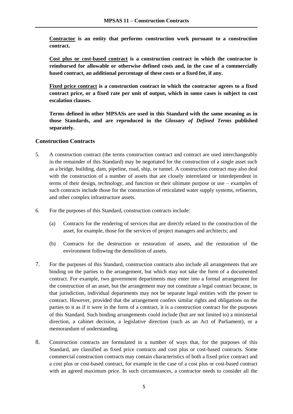**Contractor is an entity that performs construction work pursuant to a construction contract.**

**Cost plus or cost-based contract is a construction contract in which the contractor is reimbursed for allowable or otherwise defined costs and, in the case of a commercially based contract, an additional percentage of these costs or a fixed fee, if any.**

**Fixed price contract is a construction contract in which the contractor agrees to a fixed contract price, or a fixed rate per unit of output, which in some cases is subject to cost escalation clauses.**

**Terms defined in other MPSASs are used in this Standard with the same meaning as in those Standards, and are reproduced in the** *Glossary of Defined Terms* **published separately.**

## **Construction Contracts**

- 5. A construction contract (the terms construction contract and contract are used interchangeably in the remainder of this Standard) may be negotiated for the construction of a single asset such as a bridge, building, dam, pipeline, road, ship, or tunnel. A construction contract may also deal with the construction of a number of assets that are closely interrelated or interdependent in terms of their design, technology, and function or their ultimate purpose or use – examples of such contracts include those for the construction of reticulated water supply systems, refineries, and other complex infrastructure assets.
- 6. For the purposes of this Standard, construction contracts include:
	- (a) Contracts for the rendering of services that are directly related to the construction of the asset, for example, those for the services of project managers and architects; and
	- (b) Contracts for the destruction or restoration of assets, and the restoration of the environment following the demolition of assets.
- 7. For the purposes of this Standard, construction contracts also include all arrangements that are binding on the parties to the arrangement, but which may not take the form of a documented contract. For example, two government departments may enter into a formal arrangement for the construction of an asset, but the arrangement may not constitute a legal contract because, in that jurisdiction, individual departments may not be separate legal entities with the power to contract. However, provided that the arrangement confers similar rights and obligations on the parties to it as if it were in the form of a contract, it is a construction contract for the purposes of this Standard. Such binding arrangements could include (but are not limited to) a ministerial direction, a cabinet decision, a legislative direction (such as an Act of Parliament), or a memorandum of understanding.
- 8. Construction contracts are formulated in a number of ways that, for the purposes of this Standard, are classified as fixed price contracts and cost plus or cost-based contracts. Some commercial construction contracts may contain characteristics of both a fixed price contract and a cost plus or cost-based contract, for example in the case of a cost plus or cost-based contract with an agreed maximum price. In such circumstances, a contractor needs to consider all the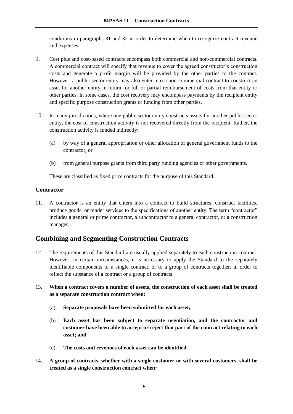conditions in paragraphs 31 and 32 in order to determine when to recognize contract revenue and expenses.

- 9. Cost plus and cost-based contracts encompass both commercial and non-commercial contracts. A commercial contract will specify that revenue to cover the agreed constructor's construction costs and generate a profit margin will be provided by the other parties to the contract. However, a public sector entity may also enter into a non-commercial contract to construct an asset for another entity in return for full or partial reimbursement of costs from that entity or other parties. In some cases, the cost recovery may encompass payments by the recipient entity and specific purpose construction grants or funding from other parties.
- 10. In many jurisdictions, where one public sector entity constructs assets for another public sector entity, the cost of construction activity is not recovered directly from the recipient. Rather, the construction activity is funded indirectly:
	- (a) by way of a general appropriation or other allocation of general government funds to the contractor, or
	- (b) from general purpose grants from third party funding agencies or other governments.

These are classified as fixed price contracts for the purpose of this Standard.

## **Contractor**

11. A contractor is an entity that enters into a contract to build structures, construct facilities, produce goods, or render services to the specifications of another entity. The term "contractor" includes a general or prime contractor, a subcontractor to a general contractor, or a construction manager.

# **Combining and Segmenting Construction Contracts**

- 12. The requirements of this Standard are usually applied separately to each construction contract. However, in certain circumstances, it is necessary to apply the Standard to the separately identifiable components of a single contract, or to a group of contracts together, in order to reflect the substance of a contract or a group of contracts.
- 13. **When a contract covers a number of assets, the construction of each asset shall be treated as a separate construction contract when:** 
	- (a) **Separate proposals have been submitted for each asset;**
	- (b) **Each asset has been subject to separate negotiation, and the contractor and customer have been able to accept or reject that part of the contract relating to each asset; and**
	- (c) **The costs and revenues of each asset can be identified.**
- 14. **A group of contracts, whether with a single customer or with several customers, shall be treated as a single construction contract when:**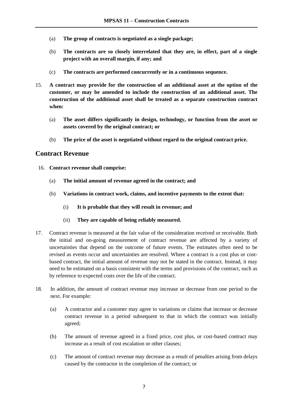- (a) **The group of contracts is negotiated as a single package;**
- (b) **The contracts are so closely interrelated that they are, in effect, part of a single project with an overall margin, if any; and**
- (c) **The contracts are performed concurrently or in a continuous sequence.**
- 15. **A contract may provide for the construction of an additional asset at the option of the customer, or may be amended to include the construction of an additional asset. The construction of the additional asset shall be treated as a separate construction contract when:** 
	- (a) **The asset differs significantly in design, technology, or function from the asset or assets covered by the original contract; or**
	- (b) **The price of the asset is negotiated without regard to the original contract price.**

## **Contract Revenue**

- 16. **Contract revenue shall comprise:** 
	- (a) **The initial amount of revenue agreed in the contract; and**
	- (b) **Variations in contract work, claims, and incentive payments to the extent that:** 
		- (i) **It is probable that they will result in revenue; and**
		- (ii) **They are capable of being reliably measured.**
- 17. Contract revenue is measured at the fair value of the consideration received or receivable. Both the initial and on-going measurement of contract revenue are affected by a variety of uncertainties that depend on the outcome of future events. The estimates often need to be revised as events occur and uncertainties are resolved. Where a contract is a cost plus or costbased contract, the initial amount of revenue may not be stated in the contract. Instead, it may need to be estimated on a basis consistent with the terms and provisions of the contract, such as by reference to expected costs over the life of the contract.
- 18. In addition, the amount of contract revenue may increase or decrease from one period to the next. For example:
	- (a) A contractor and a customer may agree to variations or claims that increase or decrease contract revenue in a period subsequent to that in which the contract was initially agreed;
	- (b) The amount of revenue agreed in a fixed price, cost plus, or cost-based contract may increase as a result of cost escalation or other clauses;
	- (c) The amount of contract revenue may decrease as a result of penalties arising from delays caused by the contractor in the completion of the contract; or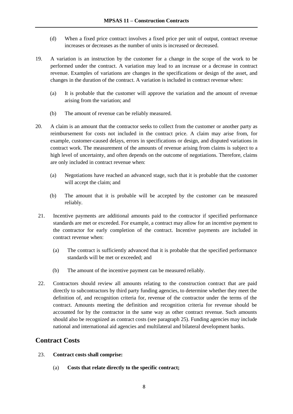- (d) When a fixed price contract involves a fixed price per unit of output, contract revenue increases or decreases as the number of units is increased or decreased.
- 19. A variation is an instruction by the customer for a change in the scope of the work to be performed under the contract. A variation may lead to an increase or a decrease in contract revenue. Examples of variations are changes in the specifications or design of the asset, and changes in the duration of the contract. A variation is included in contract revenue when:
	- (a) It is probable that the customer will approve the variation and the amount of revenue arising from the variation; and
	- (b) The amount of revenue can be reliably measured.
- 20. A claim is an amount that the contractor seeks to collect from the customer or another party as reimbursement for costs not included in the contract price. A claim may arise from, for example, customer-caused delays, errors in specifications or design, and disputed variations in contract work. The measurement of the amounts of revenue arising from claims is subject to a high level of uncertainty, and often depends on the outcome of negotiations. Therefore, claims are only included in contract revenue when:
	- (a) Negotiations have reached an advanced stage, such that it is probable that the customer will accept the claim; and
	- (b) The amount that it is probable will be accepted by the customer can be measured reliably.
- 21. Incentive payments are additional amounts paid to the contractor if specified performance standards are met or exceeded. For example, a contract may allow for an incentive payment to the contractor for early completion of the contract. Incentive payments are included in contract revenue when:
	- (a) The contract is sufficiently advanced that it is probable that the specified performance standards will be met or exceeded; and
	- (b) The amount of the incentive payment can be measured reliably.
- 22. Contractors should review all amounts relating to the construction contract that are paid directly to subcontractors by third party funding agencies, to determine whether they meet the definition of, and recognition criteria for, revenue of the contractor under the terms of the contract. Amounts meeting the definition and recognition criteria for revenue should be accounted for by the contractor in the same way as other contract revenue. Such amounts should also be recognized as contract costs (see paragraph 25). Funding agencies may include national and international aid agencies and multilateral and bilateral development banks.

## **Contract Costs**

- 23. **Contract costs shall comprise:** 
	- (a) **Costs that relate directly to the specific contract;**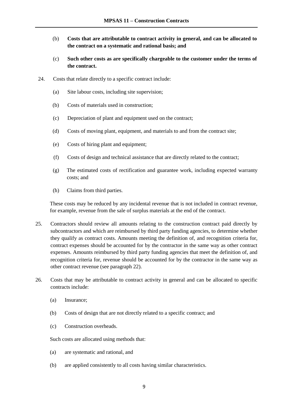- (b) **Costs that are attributable to contract activity in general, and can be allocated to the contract on a systematic and rational basis; and**
- (c) **Such other costs as are specifically chargeable to the customer under the terms of the contract.**
- 24. Costs that relate directly to a specific contract include:
	- (a) Site labour costs, including site supervision;
	- (b) Costs of materials used in construction;
	- (c) Depreciation of plant and equipment used on the contract;
	- (d) Costs of moving plant, equipment, and materials to and from the contract site;
	- (e) Costs of hiring plant and equipment;
	- (f) Costs of design and technical assistance that are directly related to the contract;
	- (g) The estimated costs of rectification and guarantee work, including expected warranty costs; and
	- (h) Claims from third parties.

These costs may be reduced by any incidental revenue that is not included in contract revenue, for example, revenue from the sale of surplus materials at the end of the contract.

- 25. Contractors should review all amounts relating to the construction contract paid directly by subcontractors and which are reimbursed by third party funding agencies, to determine whether they qualify as contract costs. Amounts meeting the definition of, and recognition criteria for, contract expenses should be accounted for by the contractor in the same way as other contract expenses. Amounts reimbursed by third party funding agencies that meet the definition of, and recognition criteria for, revenue should be accounted for by the contractor in the same way as other contract revenue (see paragraph 22).
- 26. Costs that may be attributable to contract activity in general and can be allocated to specific contracts include:
	- (a) Insurance;
	- (b) Costs of design that are not directly related to a specific contract; and
	- (c) Construction overheads.

Such costs are allocated using methods that:

- (a) are systematic and rational, and
- (b) are applied consistently to all costs having similar characteristics.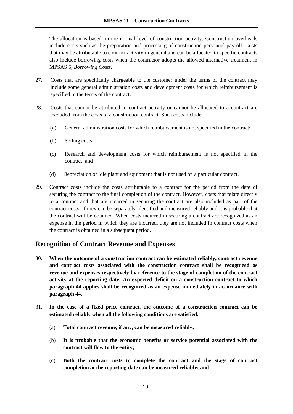The allocation is based on the normal level of construction activity. Construction overheads include costs such as the preparation and processing of construction personnel payroll. Costs that may be attributable to contract activity in general and can be allocated to specific contracts also include borrowing costs when the contractor adopts the allowed alternative treatment in MPSAS 5, *Borrowing Costs*.

- 27. Costs that are specifically chargeable to the customer under the terms of the contract may include some general administration costs and development costs for which reimbursement is specified in the terms of the contract.
- 28. Costs that cannot be attributed to contract activity or cannot be allocated to a contract are excluded from the costs of a construction contract. Such costs include:
	- (a) General administration costs for which reimbursement is not specified in the contract;
	- (b) Selling costs;
	- (c) Research and development costs for which reimbursement is not specified in the contract; and
	- (d) Depreciation of idle plant and equipment that is not used on a particular contract.
- 29. Contract costs include the costs attributable to a contract for the period from the date of securing the contract to the final completion of the contract. However, costs that relate directly to a contract and that are incurred in securing the contract are also included as part of the contract costs, if they can be separately identified and measured reliably and it is probable that the contract will be obtained. When costs incurred in securing a contract are recognized as an expense in the period in which they are incurred, they are not included in contract costs when the contract is obtained in a subsequent period.

# **Recognition of Contract Revenue and Expenses**

- 30. **When the outcome of a construction contract can be estimated reliably, contract revenue and contract costs associated with the construction contract shall be recognized as revenue and expenses respectively by reference to the stage of completion of the contract activity at the reporting date. An expected deficit on a construction contract to which paragraph 44 applies shall be recognized as an expense immediately in accordance with paragraph 44.**
- 31. **In the case of a fixed price contract, the outcome of a construction contract can be estimated reliably when all the following conditions are satisfied:** 
	- (a) **Total contract revenue, if any, can be measured reliably;**
	- (b) **It is probable that the economic benefits or service potential associated with the contract will flow to the entity;**
	- (c) **Both the contract costs to complete the contract and the stage of contract completion at the reporting date can be measured reliably; and**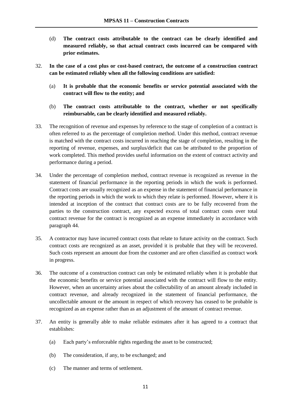- (d) **The contract costs attributable to the contract can be clearly identified and measured reliably, so that actual contract costs incurred can be compared with prior estimates.**
- 32. **In the case of a cost plus or cost-based contract, the outcome of a construction contract can be estimated reliably when all the following conditions are satisfied:** 
	- (a) **It is probable that the economic benefits or service potential associated with the contract will flow to the entity; and**
	- (b) **The contract costs attributable to the contract, whether or not specifically reimbursable, can be clearly identified and measured reliably.**
- 33. The recognition of revenue and expenses by reference to the stage of completion of a contract is often referred to as the percentage of completion method. Under this method, contract revenue is matched with the contract costs incurred in reaching the stage of completion, resulting in the reporting of revenue, expenses, and surplus/deficit that can be attributed to the proportion of work completed. This method provides useful information on the extent of contract activity and performance during a period.
- 34. Under the percentage of completion method, contract revenue is recognized as revenue in the statement of financial performance in the reporting periods in which the work is performed. Contract costs are usually recognized as an expense in the statement of financial performance in the reporting periods in which the work to which they relate is performed. However, where it is intended at inception of the contract that contract costs are to be fully recovered from the parties to the construction contract, any expected excess of total contract costs over total contract revenue for the contract is recognized as an expense immediately in accordance with paragraph 44.
- 35. A contractor may have incurred contract costs that relate to future activity on the contract. Such contract costs are recognized as an asset, provided it is probable that they will be recovered. Such costs represent an amount due from the customer and are often classified as contract work in progress.
- 36. The outcome of a construction contract can only be estimated reliably when it is probable that the economic benefits or service potential associated with the contract will flow to the entity. However, when an uncertainty arises about the collectability of an amount already included in contract revenue, and already recognized in the statement of financial performance, the uncollectable amount or the amount in respect of which recovery has ceased to be probable is recognized as an expense rather than as an adjustment of the amount of contract revenue.
- 37. An entity is generally able to make reliable estimates after it has agreed to a contract that establishes:
	- (a) Each party's enforceable rights regarding the asset to be constructed;
	- (b) The consideration, if any, to be exchanged; and
	- (c) The manner and terms of settlement.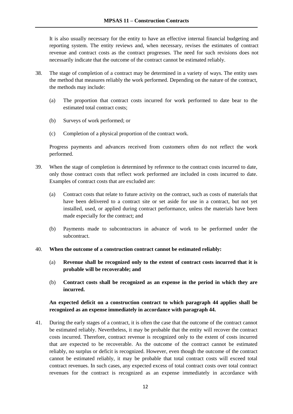It is also usually necessary for the entity to have an effective internal financial budgeting and reporting system. The entity reviews and, when necessary, revises the estimates of contract revenue and contract costs as the contract progresses. The need for such revisions does not necessarily indicate that the outcome of the contract cannot be estimated reliably.

- 38. The stage of completion of a contract may be determined in a variety of ways. The entity uses the method that measures reliably the work performed. Depending on the nature of the contract, the methods may include:
	- (a) The proportion that contract costs incurred for work performed to date bear to the estimated total contract costs;
	- (b) Surveys of work performed; or
	- (c) Completion of a physical proportion of the contract work.

Progress payments and advances received from customers often do not reflect the work performed.

- 39. When the stage of completion is determined by reference to the contract costs incurred to date, only those contract costs that reflect work performed are included in costs incurred to date. Examples of contract costs that are excluded are:
	- (a) Contract costs that relate to future activity on the contract, such as costs of materials that have been delivered to a contract site or set aside for use in a contract, but not yet installed, used, or applied during contract performance, unless the materials have been made especially for the contract; and
	- (b) Payments made to subcontractors in advance of work to be performed under the subcontract.
- 40. **When the outcome of a construction contract cannot be estimated reliably:** 
	- (a) **Revenue shall be recognized only to the extent of contract costs incurred that it is probable will be recoverable; and**
	- (b) **Contract costs shall be recognized as an expense in the period in which they are incurred.**

## **An expected deficit on a construction contract to which paragraph 44 applies shall be recognized as an expense immediately in accordance with paragraph 44.**

41. During the early stages of a contract, it is often the case that the outcome of the contract cannot be estimated reliably. Nevertheless, it may be probable that the entity will recover the contract costs incurred. Therefore, contract revenue is recognized only to the extent of costs incurred that are expected to be recoverable. As the outcome of the contract cannot be estimated reliably, no surplus or deficit is recognized. However, even though the outcome of the contract cannot be estimated reliably, it may be probable that total contract costs will exceed total contract revenues. In such cases, any expected excess of total contract costs over total contract revenues for the contract is recognized as an expense immediately in accordance with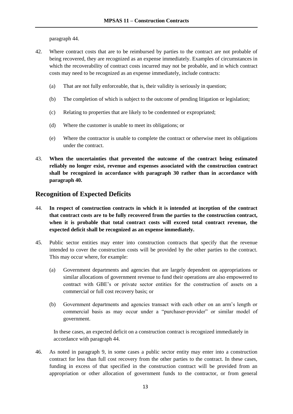paragraph 44.

- 42. Where contract costs that are to be reimbursed by parties to the contract are not probable of being recovered, they are recognized as an expense immediately. Examples of circumstances in which the recoverability of contract costs incurred may not be probable, and in which contract costs may need to be recognized as an expense immediately, include contracts:
	- (a) That are not fully enforceable, that is, their validity is seriously in question;
	- (b) The completion of which is subject to the outcome of pending litigation or legislation;
	- (c) Relating to properties that are likely to be condemned or expropriated;
	- (d) Where the customer is unable to meet its obligations; or
	- (e) Where the contractor is unable to complete the contract or otherwise meet its obligations under the contract.
- 43. **When the uncertainties that prevented the outcome of the contract being estimated reliably no longer exist, revenue and expenses associated with the construction contract shall be recognized in accordance with paragraph 30 rather than in accordance with paragraph 40.**

# **Recognition of Expected Deficits**

- 44. **In respect of construction contracts in which it is intended at inception of the contract that contract costs are to be fully recovered from the parties to the construction contract, when it is probable that total contract costs will exceed total contract revenue, the expected deficit shall be recognized as an expense immediately.**
- 45. Public sector entities may enter into construction contracts that specify that the revenue intended to cover the construction costs will be provided by the other parties to the contract. This may occur where, for example:
	- (a) Government departments and agencies that are largely dependent on appropriations or similar allocations of government revenue to fund their operations are also empowered to contract with GBE's or private sector entities for the construction of assets on a commercial or full cost recovery basis; or
	- (b) Government departments and agencies transact with each other on an arm's length or commercial basis as may occur under a "purchaser-provider" or similar model of government.

In these cases, an expected deficit on a construction contract is recognized immediately in accordance with paragraph 44.

46. As noted in paragraph 9, in some cases a public sector entity may enter into a construction contract for less than full cost recovery from the other parties to the contract. In these cases, funding in excess of that specified in the construction contract will be provided from an appropriation or other allocation of government funds to the contractor, or from general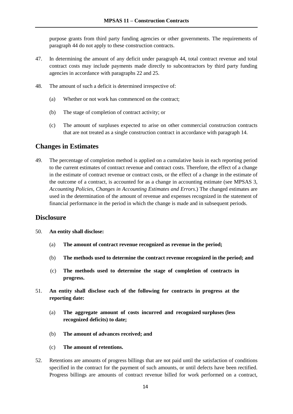purpose grants from third party funding agencies or other governments. The requirements of paragraph 44 do not apply to these construction contracts.

- 47. In determining the amount of any deficit under paragraph 44, total contract revenue and total contract costs may include payments made directly to subcontractors by third party funding agencies in accordance with paragraphs 22 and 25.
- 48. The amount of such a deficit is determined irrespective of:
	- (a) Whether or not work has commenced on the contract;
	- (b) The stage of completion of contract activity; or
	- (c) The amount of surpluses expected to arise on other commercial construction contracts that are not treated as a single construction contract in accordance with paragraph 14.

## **Changes in Estimates**

49. The percentage of completion method is applied on a cumulative basis in each reporting period to the current estimates of contract revenue and contract costs. Therefore, the effect of a change in the estimate of contract revenue or contract costs, or the effect of a change in the estimate of the outcome of a contract, is accounted for as a change in accounting estimate (see MPSAS 3, *Accounting Policies, Changes in Accounting Estimates and Errors*.) The changed estimates are used in the determination of the amount of revenue and expenses recognized in the statement of financial performance in the period in which the change is made and in subsequent periods.

## **Disclosure**

- 50. **An entity shall disclose:** 
	- (a) **The amount of contract revenue recognized as revenue in the period;**
	- (b) **The methods used to determine the contract revenue recognized in the period; and**
	- (c) **The methods used to determine the stage of completion of contracts in progress.**
- 51. **An entity shall disclose each of the following for contracts in progress at the reporting date:**
	- (a) **The aggregate amount of costs incurred and recognized surpluses (less recognized deficits) to date;**
	- (b) **The amount of advances received; and**

#### (c) **The amount of retentions.**

52. Retentions are amounts of progress billings that are not paid until the satisfaction of conditions specified in the contract for the payment of such amounts, or until defects have been rectified. Progress billings are amounts of contract revenue billed for work performed on a contract,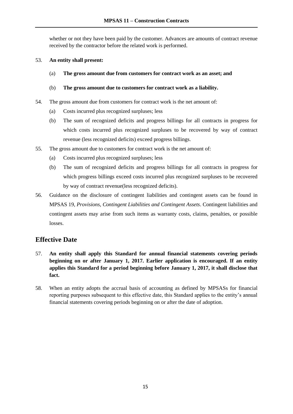whether or not they have been paid by the customer. Advances are amounts of contract revenue received by the contractor before the related work is performed.

## 53. **An entity shall present:**

(a) **The gross amount due from customers for contract work as an asset; and**

## (b) **The gross amount due to customers for contract work as a liability.**

- 54. The gross amount due from customers for contract work is the net amount of:
	- (a) Costs incurred plus recognized surpluses; less
	- (b) The sum of recognized deficits and progress billings for all contracts in progress for which costs incurred plus recognized surpluses to be recovered by way of contract revenue (less recognized deficits) exceed progress billings.
- 55. The gross amount due to customers for contract work is the net amount of:
	- (a) Costs incurred plus recognized surpluses; less
	- (b) The sum of recognized deficits and progress billings for all contracts in progress for which progress billings exceed costs incurred plus recognized surpluses to be recovered by way of contract revenue(less recognized deficits).
- 56. Guidance on the disclosure of contingent liabilities and contingent assets can be found in MPSAS 19, *Provisions, Contingent Liabilities and Contingent Assets*. Contingent liabilities and contingent assets may arise from such items as warranty costs, claims, penalties, or possible losses.

# **Effective Date**

- 57. **An entity shall apply this Standard for annual financial statements covering periods beginning on or after January 1, 2017. Earlier application is encouraged. If an entity applies this Standard for a period beginning before January 1, 2017, it shall disclose that fact.**
- 58. When an entity adopts the accrual basis of accounting as defined by MPSASs for financial reporting purposes subsequent to this effective date, this Standard applies to the entity's annual financial statements covering periods beginning on or after the date of adoption.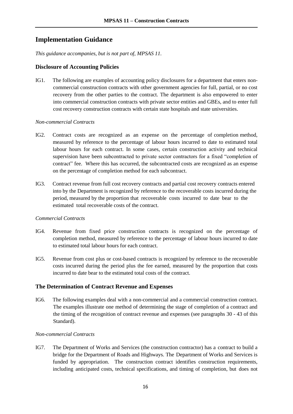# **Implementation Guidance**

*This guidance accompanies, but is not part of, MPSAS 11.*

#### **Disclosure of Accounting Policies**

IG1. The following are examples of accounting policy disclosures for a department that enters noncommercial construction contracts with other government agencies for full, partial, or no cost recovery from the other parties to the contract. The department is also empowered to enter into commercial construction contracts with private sector entities and GBEs, and to enter full cost recovery construction contracts with certain state hospitals and state universities.

#### *Non-commercial Contracts*

- IG2. Contract costs are recognized as an expense on the percentage of completion method, measured by reference to the percentage of labour hours incurred to date to estimated total labour hours for each contract. In some cases, certain construction activity and technical supervision have been subcontracted to private sector contractors for a fixed "completion of contract" fee. Where this has occurred, the subcontracted costs are recognized as an expense on the percentage of completion method for each subcontract.
- IG3. Contract revenue from full cost recovery contracts and partial cost recovery contracts entered into by the Department is recognized by reference to the recoverable costs incurred during the period, measured by the proportion that recoverable costs incurred to date bear to the estimated total recoverable costs of the contract.

#### *Commercial Contracts*

- IG4. Revenue from fixed price construction contracts is recognized on the percentage of completion method, measured by reference to the percentage of labour hours incurred to date to estimated total labour hours for each contract.
- IG5. Revenue from cost plus or cost-based contracts is recognized by reference to the recoverable costs incurred during the period plus the fee earned, measured by the proportion that costs incurred to date bear to the estimated total costs of the contract.

## **The Determination of Contract Revenue and Expenses**

IG6. The following examples deal with a non-commercial and a commercial construction contract. The examples illustrate one method of determining the stage of completion of a contract and the timing of the recognition of contract revenue and expenses (see paragraphs 30 - 43 of this Standard).

#### *Non-commercial Contracts*

IG7. The Department of Works and Services (the construction contractor) has a contract to build a bridge for the Department of Roads and Highways. The Department of Works and Services is funded by appropriation. The construction contract identifies construction requirements, including anticipated costs, technical specifications, and timing of completion, but does not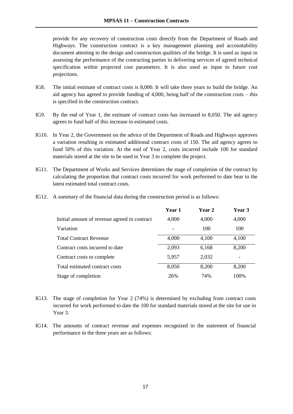provide for any recovery of construction costs directly from the Department of Roads and Highways. The construction contract is a key management planning and accountability document attesting to the design and construction qualities of the bridge. It is used as input in assessing the performance of the contracting parties in delivering services of agreed technical specification within projected cost parameters. It is also used as input to future cost projections.

- IG8. The initial estimate of contract costs is 8,000. It will take three years to build the bridge. An aid agency has agreed to provide funding of 4,000, being half of the construction costs – this is specified in the construction contract.
- IG9. By the end of Year 1, the estimate of contract costs has increased to 8,050. The aid agency agrees to fund half of this increase in estimated costs.
- IG10. In Year 2, the Government on the advice of the Department of Roads and Highways approves a variation resulting in estimated additional contract costs of 150. The aid agency agrees to fund 50% of this variation. At the end of Year 2, costs incurred include 100 for standard materials stored at the site to be used in Year 3 to complete the project.
- IG11. The Department of Works and Services determines the stage of completion of the contract by calculating the proportion that contract costs incurred for work performed to date bear to the latest estimated total contract costs.

|  |  | IG12. A summary of the financial data during the construction period is as follows: |  |
|--|--|-------------------------------------------------------------------------------------|--|
|--|--|-------------------------------------------------------------------------------------|--|

|                                              | Year 1 | <b>Year 2</b> | Year 3 |
|----------------------------------------------|--------|---------------|--------|
| Initial amount of revenue agreed in contract | 4,000  | 4,000         | 4,000  |
| Variation                                    |        | 100           | 100    |
| <b>Total Contract Revenue</b>                | 4,000  | 4,100         | 4,100  |
| Contract costs incurred to date              | 2,093  | 6,168         | 8,200  |
| Contract costs to complete                   | 5,957  | 2,032         |        |
| Total estimated contract costs               | 8,050  | 8,200         | 8,200  |
| Stage of completion                          | 26%    | 74%           | 100%   |

- IG13. The stage of completion for Year 2 (74%) is determined by excluding from contract costs incurred for work performed to date the 100 for standard materials stored at the site for use in Year 3.
- IG14. The amounts of contract revenue and expenses recognized in the statement of financial performance in the three years are as follows: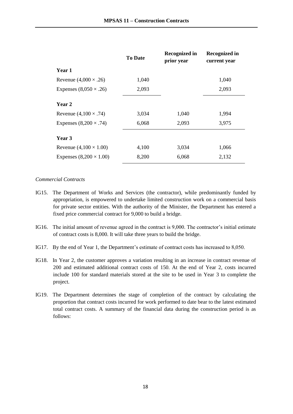|                                | <b>To Date</b> | <b>Recognized in</b><br>prior year | <b>Recognized in</b><br>current year |
|--------------------------------|----------------|------------------------------------|--------------------------------------|
| Year 1                         |                |                                    |                                      |
| Revenue $(4,000 \times .26)$   | 1,040          |                                    | 1,040                                |
| Expenses $(8,050 \times .26)$  | 2,093          |                                    | 2,093                                |
| Year 2                         |                |                                    |                                      |
| Revenue $(4,100 \times .74)$   | 3,034          | 1,040                              | 1,994                                |
| Expenses $(8,200 \times .74)$  | 6,068          | 2,093                              | 3,975                                |
| Year 3                         |                |                                    |                                      |
| Revenue $(4,100 \times 1.00)$  | 4,100          | 3,034                              | 1,066                                |
| Expenses $(8,200 \times 1.00)$ | 8,200          | 6,068                              | 2,132                                |

#### *Commercial Contracts*

- IG15. The Department of Works and Services (the contractor), while predominantly funded by appropriation, is empowered to undertake limited construction work on a commercial basis for private sector entities. With the authority of the Minister, the Department has entered a fixed price commercial contract for 9,000 to build a bridge.
- IG16. The initial amount of revenue agreed in the contract is 9,000. The contractor's initial estimate of contract costs is 8,000. It will take three years to build the bridge.
- IG17. By the end of Year 1, the Department's estimate of contract costs has increased to 8,050.
- IG18. In Year 2, the customer approves a variation resulting in an increase in contract revenue of 200 and estimated additional contract costs of 150. At the end of Year 2, costs incurred include 100 for standard materials stored at the site to be used in Year 3 to complete the project.
- IG19. The Department determines the stage of completion of the contract by calculating the proportion that contract costs incurred for work performed to date bear to the latest estimated total contract costs. A summary of the financial data during the construction period is as follows: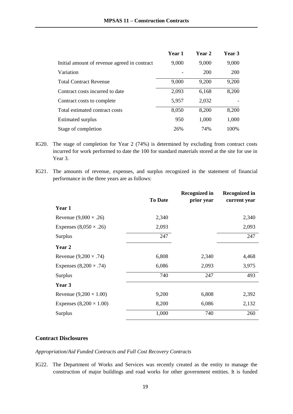|                                              | Year 1 | <b>Year 2</b> | Year 3 |
|----------------------------------------------|--------|---------------|--------|
| Initial amount of revenue agreed in contract | 9,000  | 9,000         | 9,000  |
| Variation                                    |        | 200           | 200    |
| <b>Total Contract Revenue</b>                | 9,000  | 9,200         | 9,200  |
| Contract costs incurred to date              | 2,093  | 6,168         | 8,200  |
| Contract costs to complete                   | 5,957  | 2,032         |        |
| Total estimated contract costs               | 8,050  | 8,200         | 8,200  |
| <b>Estimated surplus</b>                     | 950    | 1,000         | 1,000  |
| Stage of completion                          | 26%    | 74%           | 100%   |

- IG20. The stage of completion for Year 2 (74%) is determined by excluding from contract costs incurred for work performed to date the 100 for standard materials stored at the site for use in Year 3.
- IG21. The amounts of revenue, expenses, and surplus recognized in the statement of financial performance in the three years are as follows:

|                                |                | <b>Recognized in</b> | <b>Recognized in</b> |
|--------------------------------|----------------|----------------------|----------------------|
|                                | <b>To Date</b> | prior year           | current year         |
| Year 1                         |                |                      |                      |
| Revenue $(9,000 \times .26)$   | 2,340          |                      | 2,340                |
| Expenses $(8,050 \times .26)$  | 2,093          |                      | 2,093                |
| Surplus                        | 247            |                      | 247                  |
| Year 2                         |                |                      |                      |
| Revenue $(9,200 \times .74)$   | 6,808          | 2,340                | 4,468                |
| Expenses $(8,200 \times .74)$  | 6,086          | 2,093                | 3,975                |
| Surplus                        | 740            | 247                  | 493                  |
| Year 3                         |                |                      |                      |
| Revenue $(9,200 \times 1.00)$  | 9,200          | 6,808                | 2,392                |
| Expenses $(8,200 \times 1.00)$ | 8,200          | 6,086                | 2,132                |
| Surplus                        | 1,000          | 740                  | 260                  |

### **Contract Disclosures**

#### *Appropriation/Aid Funded Contracts and Full Cost Recovery Contracts*

IG22. The Department of Works and Services was recently created as the entity to manage the construction of major buildings and road works for other government entities. It is funded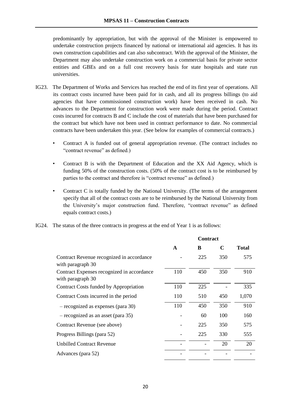predominantly by appropriation, but with the approval of the Minister is empowered to undertake construction projects financed by national or international aid agencies. It has its own construction capabilities and can also subcontract. With the approval of the Minister, the Department may also undertake construction work on a commercial basis for private sector entities and GBEs and on a full cost recovery basis for state hospitals and state run universities.

- IG23. The Department of Works and Services has reached the end of its first year of operations. All its contract costs incurred have been paid for in cash, and all its progress billings (to aid agencies that have commissioned construction work) have been received in cash. No advances to the Department for construction work were made during the period. Contract costs incurred for contracts B and C include the cost of materials that have been purchased for the contract but which have not been used in contract performance to date. No commercial contracts have been undertaken this year. (See below for examples of commercial contracts.)
	- Contract A is funded out of general appropriation revenue. (The contract includes no "contract revenue" as defined.)
	- Contract B is with the Department of Education and the XX Aid Agency, which is funding 50% of the construction costs. (50% of the contract cost is to be reimbursed by parties to the contract and therefore is "contract revenue" as defined.)
	- Contract C is totally funded by the National University. (The terms of the arrangement specify that all of the contract costs are to be reimbursed by the National University from the University's major construction fund. Therefore, "contract revenue" as defined equals contract costs.)
- IG24. The status of the three contracts in progress at the end of Year 1 is as follows:

|                                                                 |     | <b>Contract</b> |             |              |
|-----------------------------------------------------------------|-----|-----------------|-------------|--------------|
|                                                                 | A   | B               | $\mathbf C$ | <b>Total</b> |
| Contract Revenue recognized in accordance<br>with paragraph 30  |     | 225             | 350         | 575          |
| Contract Expenses recognized in accordance<br>with paragraph 30 | 110 | 450             | 350         | 910          |
| Contract Costs funded by Appropriation                          | 110 | 225             |             | 335          |
| Contract Costs incurred in the period                           | 110 | 510             | 450         | 1,070        |
| $-$ recognized as expenses (para 30)                            | 110 | 450             | 350         | 910          |
| $-$ recognized as an asset (para 35)                            |     | 60              | 100         | 160          |
| Contract Revenue (see above)                                    |     | 225             | 350         | 575          |
| Progress Billings (para 52)                                     |     | 225             | 330         | 555          |
| <b>Unbilled Contract Revenue</b>                                |     |                 | 20          | 20           |
| Advances (para 52)                                              |     |                 |             |              |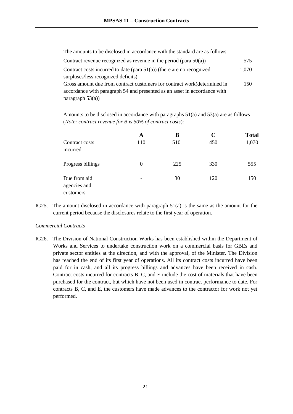The amounts to be disclosed in accordance with the standard are as follows:

| Contract revenue recognized as revenue in the period (para $50(a)$ )      | 575.  |
|---------------------------------------------------------------------------|-------|
| Contract costs incurred to date (para $51(a)$ ) (there are no recognized  | 1,070 |
| surpluses/less recognized deficits)                                       |       |
| Gross amount due from contract customers for contract work (determined in | 150   |
| accordance with paragraph 54 and presented as an asset in accordance with |       |
| paragraph $53(a)$ )                                                       |       |

Amounts to be disclosed in accordance with paragraphs 51(a) and 53(a) are as follows (*Note: contract revenue for B is 50% of contract costs*):

|                                           | A        | В   | C   | <b>Total</b> |
|-------------------------------------------|----------|-----|-----|--------------|
| Contract costs<br>incurred                | 110      | 510 | 450 | 1,070        |
| Progress billings                         | $\Omega$ | 225 | 330 | 555          |
| Due from aid<br>agencies and<br>customers | -        | 30  | 120 | 150          |

IG25. The amount disclosed in accordance with paragraph 51(a) is the same as the amount for the current period because the disclosures relate to the first year of operation.

#### *Commercial Contracts*

IG26. The Division of National Construction Works has been established within the Department of Works and Services to undertake construction work on a commercial basis for GBEs and private sector entities at the direction, and with the approval, of the Minister. The Division has reached the end of its first year of operations. All its contract costs incurred have been paid for in cash, and all its progress billings and advances have been received in cash. Contract costs incurred for contracts B, C, and E include the cost of materials that have been purchased for the contract, but which have not been used in contract performance to date. For contracts B, C, and E, the customers have made advances to the contractor for work not yet performed.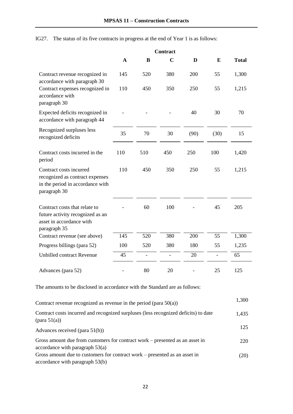IG27. The status of its five contracts in progress at the end of Year 1 is as follows:

|                                                                                                                | <b>Contract</b> |     |                |      |                |              |
|----------------------------------------------------------------------------------------------------------------|-----------------|-----|----------------|------|----------------|--------------|
|                                                                                                                | $\mathbf{A}$    | B   | $\mathbf C$    | D    | E              | <b>Total</b> |
| Contract revenue recognized in<br>accordance with paragraph 30                                                 | 145             | 520 | 380            | 200  | 55             | 1,300        |
| Contract expenses recognized in<br>accordance with<br>paragraph 30                                             | 110             | 450 | 350            | 250  | 55             | 1,215        |
| Expected deficits recognized in<br>accordance with paragraph 44                                                |                 |     |                | 40   | 30             | 70           |
| Recognized surpluses less<br>recognized deficits                                                               | 35              | 70  | 30             | (90) | (30)           | 15           |
| Contract costs incurred in the<br>period                                                                       | 110             | 510 | 450            | 250  | 100            | 1,420        |
| Contract costs incurred<br>recognized as contract expenses<br>in the period in accordance with<br>paragraph 30 | 110             | 450 | 350            | 250  | 55             | 1,215        |
| Contract costs that relate to<br>future activity recognized as an<br>asset in accordance with<br>paragraph 35  |                 | 60  | 100            |      | 45             | 205          |
| Contract revenue (see above)                                                                                   | 145             | 520 | 380            | 200  | 55             | 1,300        |
| Progress billings (para 52)                                                                                    | 100             | 520 | 380            | 180  | 55             | 1,235        |
| <b>Unbilled contract Revenue</b>                                                                               | 45              |     | $\overline{a}$ | 20   | $\overline{a}$ | 65           |
| Advances (para 52)                                                                                             |                 | 80  | 20             |      | 25             | 125          |

The amounts to be disclosed in accordance with the Standard are as follows:

| Contract revenue recognized as revenue in the period (para $50(a)$ )                                              | 1,300 |
|-------------------------------------------------------------------------------------------------------------------|-------|
| Contract costs incurred and recognized surpluses (less recognized deficits) to date<br>$(\text{para } 51(a))$     | 1,435 |
| Advances received (para $51(b)$ )                                                                                 | 125   |
| Gross amount due from customers for contract work – presented as an asset in<br>accordance with paragraph $53(a)$ | 220   |
| Gross amount due to customers for contract work – presented as an asset in<br>accordance with paragraph 53(b)     | (20)  |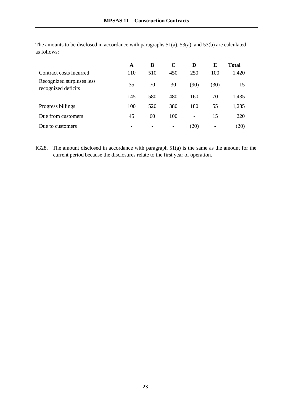|                                                  | A   | B   | $\mathbf C$ | D    | E                        | <b>Total</b> |
|--------------------------------------------------|-----|-----|-------------|------|--------------------------|--------------|
| Contract costs incurred                          | 110 | 510 | 450         | 250  | 100                      | 1,420        |
| Recognized surpluses less<br>recognized deficits | 35  | 70  | 30          | (90) | (30)                     | 15           |
|                                                  | 145 | 580 | 480         | 160  | 70                       | 1,435        |
| Progress billings                                | 100 | 520 | 380         | 180  | 55                       | 1,235        |
| Due from customers                               | 45  | 60  | 100         | -    | 15                       | 220          |
| Due to customers                                 |     |     | -           | (20) | $\overline{\phantom{a}}$ | (20)         |

The amounts to be disclosed in accordance with paragraphs 51(a), 53(a), and 53(b) are calculated as follows:

IG28. The amount disclosed in accordance with paragraph 51(a) is the same as the amount for the current period because the disclosures relate to the first year of operation.